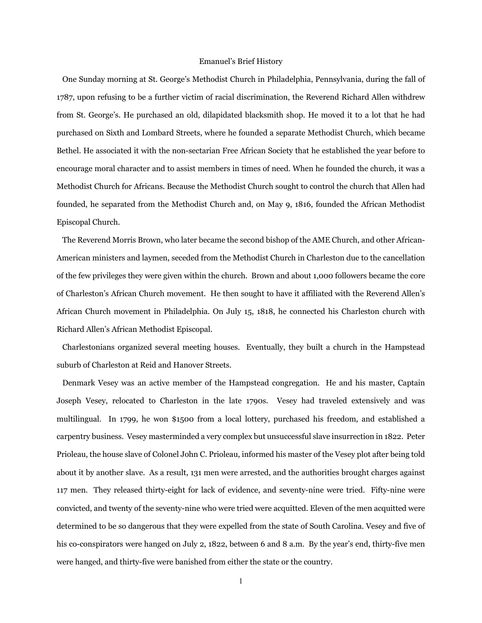## Emanuel's Brief History

 One Sunday morning at St. George's Methodist Church in Philadelphia, Pennsylvania, during the fall of 1787, upon refusing to be a further victim of racial discrimination, the Reverend Richard Allen withdrew from St. George's. He purchased an old, dilapidated blacksmith shop. He moved it to a lot that he had purchased on Sixth and Lombard Streets, where he founded a separate Methodist Church, which became Bethel. He associated it with the non-sectarian Free African Society that he established the year before to encourage moral character and to assist members in times of need. When he founded the church, it was a Methodist Church for Africans. Because the Methodist Church sought to control the church that Allen had founded, he separated from the Methodist Church and, on May 9, 1816, founded the African Methodist Episcopal Church.

 The Reverend Morris Brown, who later became the second bishop of the AME Church, and other African-American ministers and laymen, seceded from the Methodist Church in Charleston due to the cancellation of the few privileges they were given within the church. Brown and about 1,000 followers became the core of Charleston's African Church movement. He then sought to have it affiliated with the Reverend Allen's African Church movement in Philadelphia. On July 15, 1818, he connected his Charleston church with Richard Allen's African Methodist Episcopal.

 Charlestonians organized several meeting houses. Eventually, they built a church in the Hampstead suburb of Charleston at Reid and Hanover Streets.

 Denmark Vesey was an active member of the Hampstead congregation. He and his master, Captain Joseph Vesey, relocated to Charleston in the late 1790s. Vesey had traveled extensively and was multilingual. In 1799, he won \$1500 from a local lottery, purchased his freedom, and established a carpentry business. Vesey masterminded a very complex but unsuccessful slave insurrection in 1822. Peter Prioleau, the house slave of Colonel John C. Prioleau, informed his master of the Vesey plot after being told about it by another slave. As a result, 131 men were arrested, and the authorities brought charges against 117 men. They released thirty-eight for lack of evidence, and seventy-nine were tried. Fifty-nine were convicted, and twenty of the seventy-nine who were tried were acquitted. Eleven of the men acquitted were determined to be so dangerous that they were expelled from the state of South Carolina. Vesey and five of his co-conspirators were hanged on July 2, 1822, between 6 and 8 a.m. By the year's end, thirty-five men were hanged, and thirty-five were banished from either the state or the country.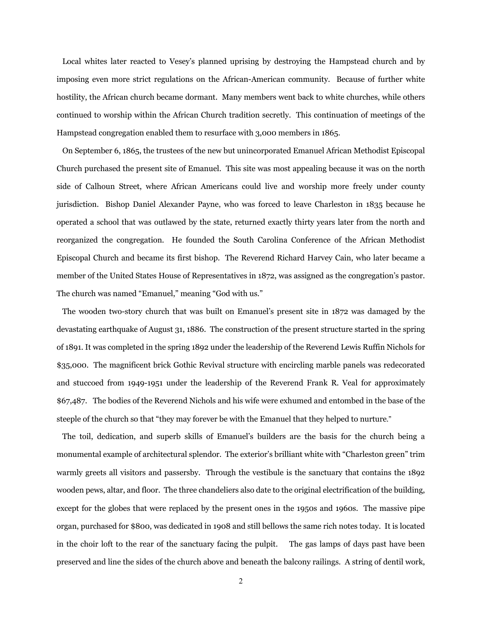Local whites later reacted to Vesey's planned uprising by destroying the Hampstead church and by imposing even more strict regulations on the African-American community. Because of further white hostility, the African church became dormant. Many members went back to white churches, while others continued to worship within the African Church tradition secretly. This continuation of meetings of the Hampstead congregation enabled them to resurface with 3,000 members in 1865.

 On September 6, 1865, the trustees of the new but unincorporated Emanuel African Methodist Episcopal Church purchased the present site of Emanuel. This site was most appealing because it was on the north side of Calhoun Street, where African Americans could live and worship more freely under county jurisdiction. Bishop Daniel Alexander Payne, who was forced to leave Charleston in 1835 because he operated a school that was outlawed by the state, returned exactly thirty years later from the north and reorganized the congregation. He founded the South Carolina Conference of the African Methodist Episcopal Church and became its first bishop. The Reverend Richard Harvey Cain, who later became a member of the United States House of Representatives in 1872, was assigned as the congregation's pastor. The church was named "Emanuel," meaning "God with us."

 The wooden two-story church that was built on Emanuel's present site in 1872 was damaged by the devastating earthquake of August 31, 1886. The construction of the present structure started in the spring of 1891. It was completed in the spring 1892 under the leadership of the Reverend Lewis Ruffin Nichols for \$35,000. The magnificent brick Gothic Revival structure with encircling marble panels was redecorated and stuccoed from 1949-1951 under the leadership of the Reverend Frank R. Veal for approximately \$67,487. The bodies of the Reverend Nichols and his wife were exhumed and entombed in the base of the steeple of the church so that "they may forever be with the Emanuel that they helped to nurture."

 The toil, dedication, and superb skills of Emanuel's builders are the basis for the church being a monumental example of architectural splendor. The exterior's brilliant white with "Charleston green" trim warmly greets all visitors and passersby. Through the vestibule is the sanctuary that contains the 1892 wooden pews, altar, and floor. The three chandeliers also date to the original electrification of the building, except for the globes that were replaced by the present ones in the 1950s and 1960s. The massive pipe organ, purchased for \$800, was dedicated in 1908 and still bellows the same rich notes today. It is located in the choir loft to the rear of the sanctuary facing the pulpit. The gas lamps of days past have been preserved and line the sides of the church above and beneath the balcony railings. A string of dentil work,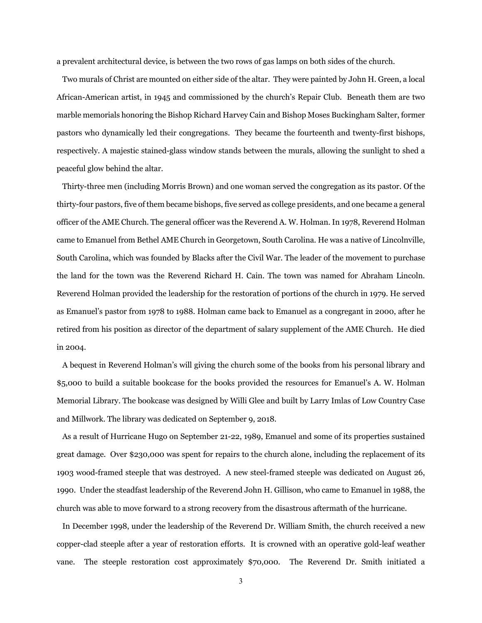a prevalent architectural device, is between the two rows of gas lamps on both sides of the church.

 Two murals of Christ are mounted on either side of the altar. They were painted by John H. Green, a local African-American artist, in 1945 and commissioned by the church's Repair Club. Beneath them are two marble memorials honoring the Bishop Richard Harvey Cain and Bishop Moses Buckingham Salter, former pastors who dynamically led their congregations. They became the fourteenth and twenty-first bishops, respectively. A majestic stained-glass window stands between the murals, allowing the sunlight to shed a peaceful glow behind the altar.

 Thirty-three men (including Morris Brown) and one woman served the congregation as its pastor. Of the thirty-four pastors, five of them became bishops, five served as college presidents, and one became a general officer of the AME Church. The general officer was the Reverend A. W. Holman. In 1978, Reverend Holman came to Emanuel from Bethel AME Church in Georgetown, South Carolina. He was a native of Lincolnville, South Carolina, which was founded by Blacks after the Civil War. The leader of the movement to purchase the land for the town was the Reverend Richard H. Cain. The town was named for Abraham Lincoln. Reverend Holman provided the leadership for the restoration of portions of the church in 1979. He served as Emanuel's pastor from 1978 to 1988. Holman came back to Emanuel as a congregant in 2000, after he retired from his position as director of the department of salary supplement of the AME Church. He died in 2004.

 A bequest in Reverend Holman's will giving the church some of the books from his personal library and \$5,000 to build a suitable bookcase for the books provided the resources for Emanuel's A. W. Holman Memorial Library. The bookcase was designed by Willi Glee and built by Larry Imlas of Low Country Case and Millwork. The library was dedicated on September 9, 2018.

 As a result of Hurricane Hugo on September 21-22, 1989, Emanuel and some of its properties sustained great damage. Over \$230,000 was spent for repairs to the church alone, including the replacement of its 1903 wood-framed steeple that was destroyed. A new steel-framed steeple was dedicated on August 26, 1990. Under the steadfast leadership of the Reverend John H. Gillison, who came to Emanuel in 1988, the church was able to move forward to a strong recovery from the disastrous aftermath of the hurricane.

 In December 1998, under the leadership of the Reverend Dr. William Smith, the church received a new copper-clad steeple after a year of restoration efforts. It is crowned with an operative gold-leaf weather vane. The steeple restoration cost approximately \$70,000. The Reverend Dr. Smith initiated a